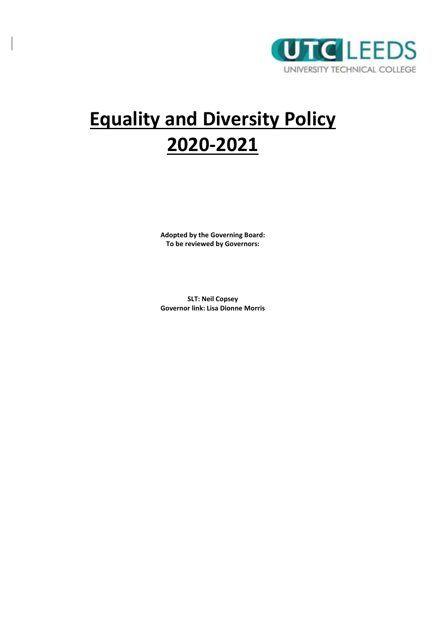

# **Equality and Diversity Policy 2020-2021**

**Adopted by the Governing Board: To be reviewed by Governors:** 

**SLT: Neil Copsey Governor link: Lisa Dionne Morris**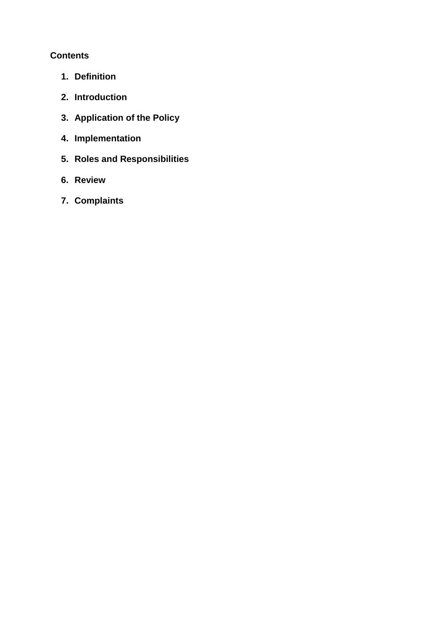## **Contents**

- **1. Definition**
- **2. Introduction**
- **3. Application of the Policy**
- **4. Implementation**
- **5. Roles and Responsibilities**
- **6. Review**
- **7. Complaints**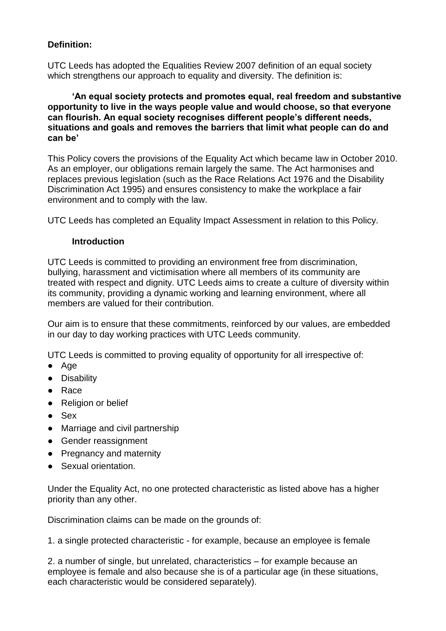## **Definition:**

UTC Leeds has adopted the Equalities Review 2007 definition of an equal society which strengthens our approach to equality and diversity. The definition is:

**'An equal society protects and promotes equal, real freedom and substantive opportunity to live in the ways people value and would choose, so that everyone can flourish. An equal society recognises different people's different needs, situations and goals and removes the barriers that limit what people can do and can be'**

This Policy covers the provisions of the Equality Act which became law in October 2010. As an employer, our obligations remain largely the same. The Act harmonises and replaces previous legislation (such as the Race Relations Act 1976 and the Disability Discrimination Act 1995) and ensures consistency to make the workplace a fair environment and to comply with the law.

UTC Leeds has completed an Equality Impact Assessment in relation to this Policy.

#### **Introduction**

UTC Leeds is committed to providing an environment free from discrimination, bullying, harassment and victimisation where all members of its community are treated with respect and dignity. UTC Leeds aims to create a culture of diversity within its community, providing a dynamic working and learning environment, where all members are valued for their contribution.

Our aim is to ensure that these commitments, reinforced by our values, are embedded in our day to day working practices with UTC Leeds community.

UTC Leeds is committed to proving equality of opportunity for all irrespective of:

- Age
- Disability
- Race
- Religion or belief
- Sex
- Marriage and civil partnership
- Gender reassignment
- Pregnancy and maternity
- Sexual orientation.

Under the Equality Act, no one protected characteristic as listed above has a higher priority than any other.

Discrimination claims can be made on the grounds of:

1. a single protected characteristic - for example, because an employee is female

2. a number of single, but unrelated, characteristics – for example because an employee is female and also because she is of a particular age (in these situations, each characteristic would be considered separately).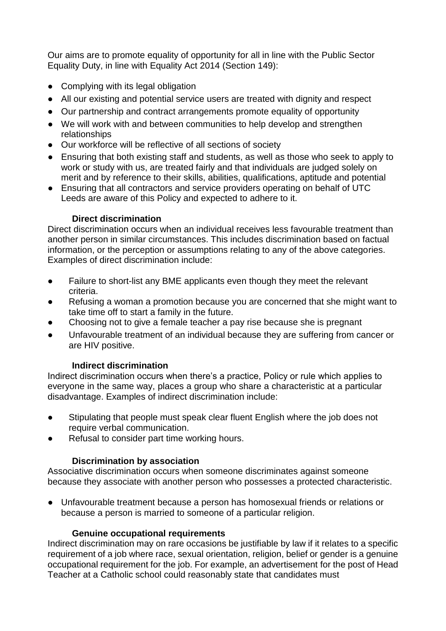Our aims are to promote equality of opportunity for all in line with the Public Sector Equality Duty, in line with Equality Act 2014 (Section 149):

- Complying with its legal obligation
- All our existing and potential service users are treated with dignity and respect
- Our partnership and contract arrangements promote equality of opportunity
- We will work with and between communities to help develop and strengthen relationships
- Our workforce will be reflective of all sections of society
- Ensuring that both existing staff and students, as well as those who seek to apply to work or study with us, are treated fairly and that individuals are judged solely on merit and by reference to their skills, abilities, qualifications, aptitude and potential
- Ensuring that all contractors and service providers operating on behalf of UTC Leeds are aware of this Policy and expected to adhere to it.

## **Direct discrimination**

Direct discrimination occurs when an individual receives less favourable treatment than another person in similar circumstances. This includes discrimination based on factual information, or the perception or assumptions relating to any of the above categories. Examples of direct discrimination include:

- Failure to short-list any BME applicants even though they meet the relevant criteria.
- Refusing a woman a promotion because you are concerned that she might want to take time off to start a family in the future.
- Choosing not to give a female teacher a pay rise because she is pregnant
- Unfavourable treatment of an individual because they are suffering from cancer or are HIV positive.

## **Indirect discrimination**

Indirect discrimination occurs when there's a practice, Policy or rule which applies to everyone in the same way, places a group who share a characteristic at a particular disadvantage. Examples of indirect discrimination include:

- Stipulating that people must speak clear fluent English where the job does not require verbal communication.
- Refusal to consider part time working hours.

#### **Discrimination by association**

Associative discrimination occurs when someone discriminates against someone because they associate with another person who possesses a protected characteristic.

● Unfavourable treatment because a person has homosexual friends or relations or because a person is married to someone of a particular religion.

#### **Genuine occupational requirements**

Indirect discrimination may on rare occasions be justifiable by law if it relates to a specific requirement of a job where race, sexual orientation, religion, belief or gender is a genuine occupational requirement for the job. For example, an advertisement for the post of Head Teacher at a Catholic school could reasonably state that candidates must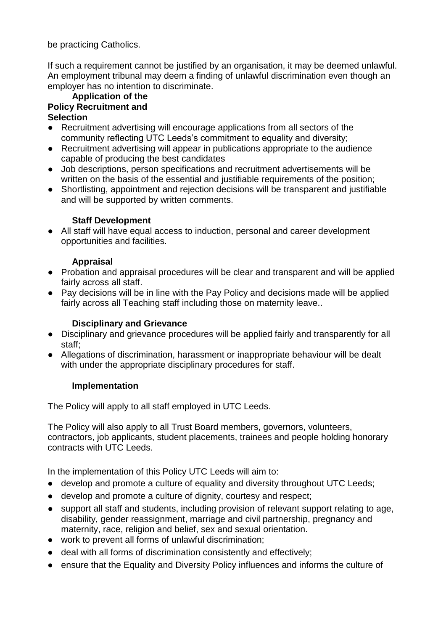be practicing Catholics.

If such a requirement cannot be justified by an organisation, it may be deemed unlawful. An employment tribunal may deem a finding of unlawful discrimination even though an employer has no intention to discriminate.

#### **Application of the Policy Recruitment and Selection**

- Recruitment advertising will encourage applications from all sectors of the community reflecting UTC Leeds's commitment to equality and diversity;
- Recruitment advertising will appear in publications appropriate to the audience capable of producing the best candidates
- Job descriptions, person specifications and recruitment advertisements will be written on the basis of the essential and justifiable requirements of the position;
- Shortlisting, appointment and rejection decisions will be transparent and justifiable and will be supported by written comments.

# **Staff Development**

● All staff will have equal access to induction, personal and career development opportunities and facilities.

## **Appraisal**

- Probation and appraisal procedures will be clear and transparent and will be applied fairly across all staff.
- Pay decisions will be in line with the Pay Policy and decisions made will be applied fairly across all Teaching staff including those on maternity leave..

## **Disciplinary and Grievance**

- Disciplinary and grievance procedures will be applied fairly and transparently for all staff;
- Allegations of discrimination, harassment or inappropriate behaviour will be dealt with under the appropriate disciplinary procedures for staff.

## **Implementation**

The Policy will apply to all staff employed in UTC Leeds.

The Policy will also apply to all Trust Board members, governors, volunteers, contractors, job applicants, student placements, trainees and people holding honorary contracts with UTC Leeds.

In the implementation of this Policy UTC Leeds will aim to:

- develop and promote a culture of equality and diversity throughout UTC Leeds;
- develop and promote a culture of dignity, courtesy and respect;
- support all staff and students, including provision of relevant support relating to age, disability, gender reassignment, marriage and civil partnership, pregnancy and maternity, race, religion and belief, sex and sexual orientation.
- work to prevent all forms of unlawful discrimination;
- deal with all forms of discrimination consistently and effectively;
- ensure that the Equality and Diversity Policy influences and informs the culture of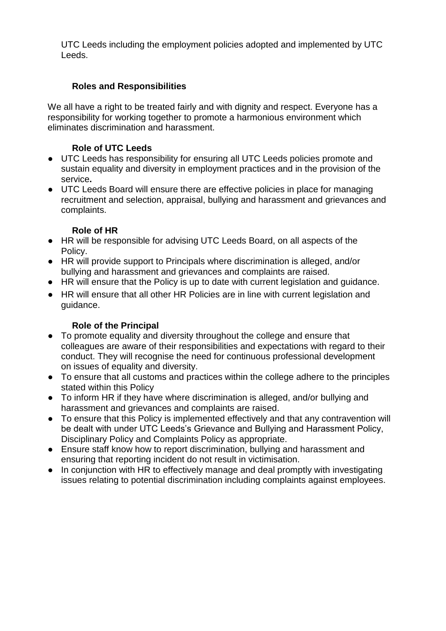UTC Leeds including the employment policies adopted and implemented by UTC Leeds.

# **Roles and Responsibilities**

We all have a right to be treated fairly and with dignity and respect. Everyone has a responsibility for working together to promote a harmonious environment which eliminates discrimination and harassment.

# **Role of UTC Leeds**

- UTC Leeds has responsibility for ensuring all UTC Leeds policies promote and sustain equality and diversity in employment practices and in the provision of the service**.**
- UTC Leeds Board will ensure there are effective policies in place for managing recruitment and selection, appraisal, bullying and harassment and grievances and complaints.

# **Role of HR**

- HR will be responsible for advising UTC Leeds Board, on all aspects of the Policy.
- HR will provide support to Principals where discrimination is alleged, and/or bullying and harassment and grievances and complaints are raised.
- HR will ensure that the Policy is up to date with current legislation and guidance.
- HR will ensure that all other HR Policies are in line with current legislation and guidance.

# **Role of the Principal**

- To promote equality and diversity throughout the college and ensure that colleagues are aware of their responsibilities and expectations with regard to their conduct. They will recognise the need for continuous professional development on issues of equality and diversity.
- To ensure that all customs and practices within the college adhere to the principles stated within this Policy
- To inform HR if they have where discrimination is alleged, and/or bullying and harassment and grievances and complaints are raised.
- To ensure that this Policy is implemented effectively and that any contravention will be dealt with under UTC Leeds's Grievance and Bullying and Harassment Policy, Disciplinary Policy and Complaints Policy as appropriate.
- Ensure staff know how to report discrimination, bullying and harassment and ensuring that reporting incident do not result in victimisation.
- In conjunction with HR to effectively manage and deal promptly with investigating issues relating to potential discrimination including complaints against employees.